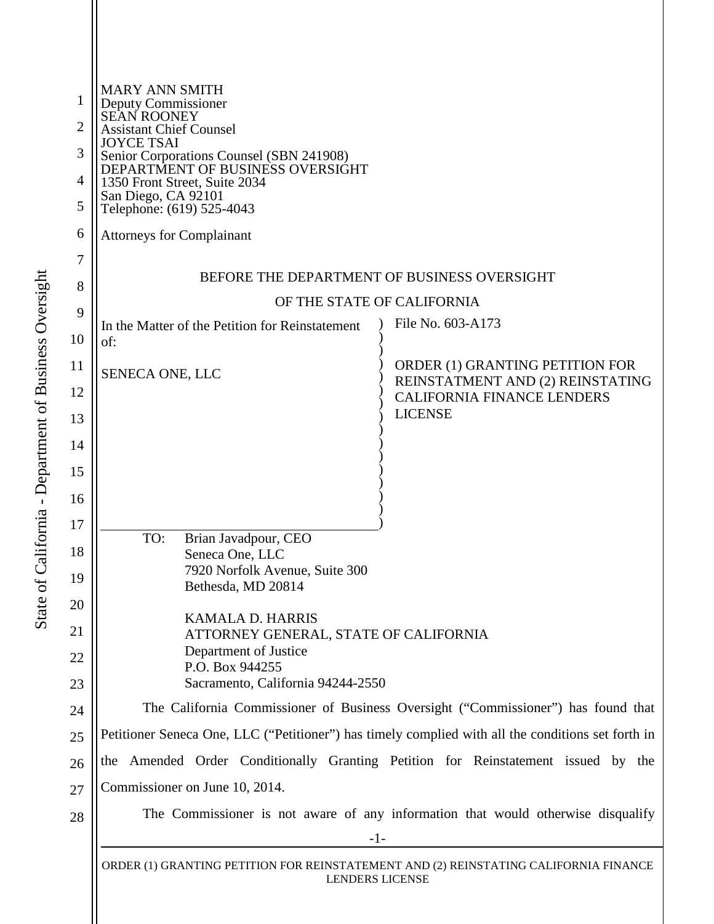| 1<br>2<br>3<br>4<br>5<br>6<br>7 | <b>MARY ANN SMITH</b><br>Deputy Commissioner<br><b>SEAN ROONEY</b><br><b>Assistant Chief Counsel</b><br><b>JOYCE TSAI</b><br>Senior Corporations Counsel (SBN 241908)<br>DEPARTMENT OF BUSINESS OVERSIGHT<br>1350 Front Street, Suite 2034<br>San Diego, CA 92101<br>Telephone: (619) 525-4043<br><b>Attorneys for Complainant</b><br>BEFORE THE DEPARTMENT OF BUSINESS OVERSIGHT |                                                                     |  |
|---------------------------------|-----------------------------------------------------------------------------------------------------------------------------------------------------------------------------------------------------------------------------------------------------------------------------------------------------------------------------------------------------------------------------------|---------------------------------------------------------------------|--|
| 8                               | OF THE STATE OF CALIFORNIA                                                                                                                                                                                                                                                                                                                                                        |                                                                     |  |
| 9<br>10                         | In the Matter of the Petition for Reinstatement<br>of:                                                                                                                                                                                                                                                                                                                            | File No. 603-A173                                                   |  |
| 11<br>12                        | SENECA ONE, LLC                                                                                                                                                                                                                                                                                                                                                                   | ORDER (1) GRANTING PETITION FOR<br>REINSTATMENT AND (2) REINSTATING |  |
| 13                              |                                                                                                                                                                                                                                                                                                                                                                                   | <b>CALIFORNIA FINANCE LENDERS</b><br><b>LICENSE</b>                 |  |
| 14                              |                                                                                                                                                                                                                                                                                                                                                                                   |                                                                     |  |
| 15<br>16                        |                                                                                                                                                                                                                                                                                                                                                                                   |                                                                     |  |
| 17                              |                                                                                                                                                                                                                                                                                                                                                                                   |                                                                     |  |
| 18                              | TO:<br>Brian Javadpour, CEO<br>Seneca One, LLC                                                                                                                                                                                                                                                                                                                                    |                                                                     |  |
| 19                              | 7920 Norfolk Avenue, Suite 300<br>Bethesda, MD 20814                                                                                                                                                                                                                                                                                                                              |                                                                     |  |
| 20                              | <b>KAMALA D. HARRIS</b>                                                                                                                                                                                                                                                                                                                                                           |                                                                     |  |
| 21<br>22                        | ATTORNEY GENERAL, STATE OF CALIFORNIA<br>Department of Justice<br>P.O. Box 944255                                                                                                                                                                                                                                                                                                 |                                                                     |  |
| 23                              | Sacramento, California 94244-2550                                                                                                                                                                                                                                                                                                                                                 |                                                                     |  |
| 24                              | The California Commissioner of Business Oversight ("Commissioner") has found that                                                                                                                                                                                                                                                                                                 |                                                                     |  |
| 25                              | Petitioner Seneca One, LLC ("Petitioner") has timely complied with all the conditions set forth in                                                                                                                                                                                                                                                                                |                                                                     |  |
| 26                              | the Amended Order Conditionally Granting Petition for Reinstatement issued by the                                                                                                                                                                                                                                                                                                 |                                                                     |  |
| 27                              | Commissioner on June 10, 2014.                                                                                                                                                                                                                                                                                                                                                    |                                                                     |  |
| 28                              | The Commissioner is not aware of any information that would otherwise disqualify<br>$-1-$                                                                                                                                                                                                                                                                                         |                                                                     |  |
|                                 | ORDER (1) GRANTING PETITION FOR REINSTATEMENT AND (2) REINSTATING CALIFORNIA FINANCE<br><b>LENDERS LICENSE</b>                                                                                                                                                                                                                                                                    |                                                                     |  |
|                                 |                                                                                                                                                                                                                                                                                                                                                                                   |                                                                     |  |